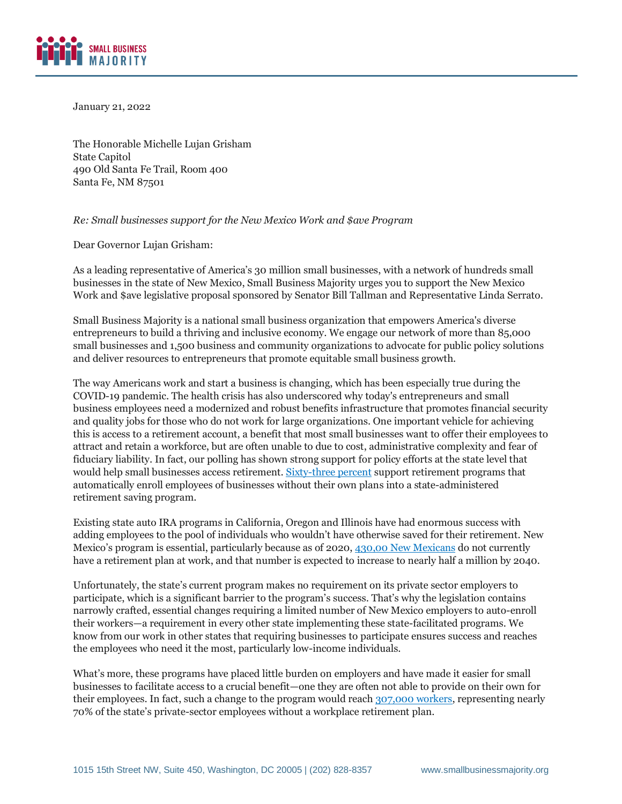

January 21, 2022

The Honorable Michelle Lujan Grisham State Capitol 490 Old Santa Fe Trail, Room 400 Santa Fe, NM 87501

## *Re: Small businesses support for the New Mexico Work and \$ave Program*

Dear Governor Lujan Grisham:

As a leading representative of America's 30 million small businesses, with a network of hundreds small businesses in the state of New Mexico, Small Business Majority urges you to support the New Mexico Work and \$ave legislative proposal sponsored by Senator Bill Tallman and Representative Linda Serrato.

Small Business Majority is a national small business organization that empowers America's diverse entrepreneurs to build a thriving and inclusive economy. We engage our network of more than 85,000 small businesses and 1,500 business and community organizations to advocate for public policy solutions and deliver resources to entrepreneurs that promote equitable small business growth.

The way Americans work and start a business is changing, which has been especially true during the COVID-19 pandemic. The health crisis has also underscored why today's entrepreneurs and small business employees need a modernized and robust benefits infrastructure that promotes financial security and quality jobs for those who do not work for large organizations. One important vehicle for achieving this is access to a retirement account, a benefit that most small businesses want to offer their employees to attract and retain a workforce, but are often unable to due to cost, administrative complexity and fear of fiduciary liability. In fact, our polling has shown strong support for policy efforts at the state level that would help small businesses access retirement[. Sixty-three percent](https://smallbusinessmajority.org/our-research/entrepreneurship-freelance-economy/small-business-owners-say-government-doesn-t-understand-their-concerns-need-help-healthcare-costs-and-other-challenges) support retirement programs that automatically enroll employees of businesses without their own plans into a state-administered retirement saving program.

Existing state auto IRA programs in California, Oregon and Illinois have had enormous success with adding employees to the pool of individuals who wouldn't have otherwise saved for their retirement. New Mexico's program is essential, particularly because as of 2020, [430,00 New Mexicans](https://nmsto.gov/wp-content/uploads/2022/01/BC-CRR-NM-W-and-S-2022-01-18.pdf) do not currently have a retirement plan at work, and that number is expected to increase to nearly half a million by 2040.

Unfortunately, the state's current program makes no requirement on its private sector employers to participate, which is a significant barrier to the program's success. That's why the legislation contains narrowly crafted, essential changes requiring a limited number of New Mexico employers to auto-enroll their workers—a requirement in every other state implementing these state-facilitated programs. We know from our work in other states that requiring businesses to participate ensures success and reaches the employees who need it the most, particularly low-income individuals.

What's more, these programs have placed little burden on employers and have made it easier for small businesses to facilitate access to a crucial benefit—one they are often not able to provide on their own for their employees. In fact, such a change to the program would reac[h 307,000 workers,](https://nmsto.gov/wp-content/uploads/2022/01/UNMBBER-W-and-Save-Presentation-2022-01-18.pdf) representing nearly 70% of the state's private-sector employees without a workplace retirement plan.